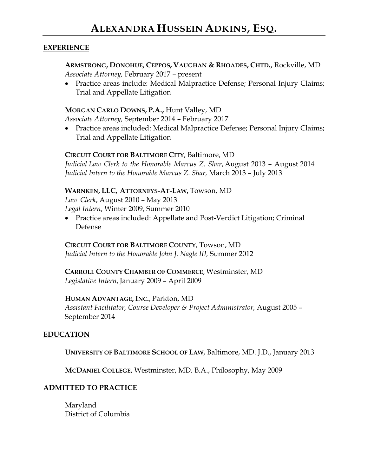#### **EXPERIENCE**

## **ARMSTRONG, DONOHUE, CEPPOS, VAUGHAN & RHOADES, CHTD.,** Rockville, MD *Associate Attorney,* February 2017 – present

 Practice areas include: Medical Malpractice Defense; Personal Injury Claims; Trial and Appellate Litigation

#### **MORGAN CARLO DOWNS, P.A.,** Hunt Valley, MD

*Associate Attorney,* September 2014 – February 2017

• Practice areas included: Medical Malpractice Defense; Personal Injury Claims; Trial and Appellate Litigation

#### **CIRCUIT COURT FOR BALTIMORE CITY**, Baltimore, MD

*Judicial Law Clerk to the Honorable Marcus Z. Shar*, August 2013 – August 2014 *Judicial Intern to the Honorable Marcus Z. Shar,* March 2013 – July 2013

#### **WARNKEN, LLC, ATTORNEYS-AT-LAW,** Towson, MD

*Law Clerk*, August 2010 – May 2013 *Legal Intern*, Winter 2009, Summer 2010

 Practice areas included: Appellate and Post-Verdict Litigation; Criminal Defense

#### **CIRCUIT COURT FOR BALTIMORE COUNTY**, Towson, MD

*Judicial Intern to the Honorable John J. Nagle III,* Summer 2012

### **CARROLL COUNTY CHAMBER OF COMMERCE**, Westminster, MD *Legislative Intern*, January 2009 – April 2009

## **HUMAN ADVANTAGE, INC.**, Parkton, MD

*Assistant Facilitator, Course Developer & Project Administrator,* August 2005 – September 2014

## **EDUCATION**

**UNIVERSITY OF BALTIMORE SCHOOL OF LAW**, Baltimore, MD. J.D., January 2013

**MCDANIEL COLLEGE**, Westminster, MD. B.A., Philosophy, May 2009

## **ADMITTED TO PRACTICE**

Maryland District of Columbia